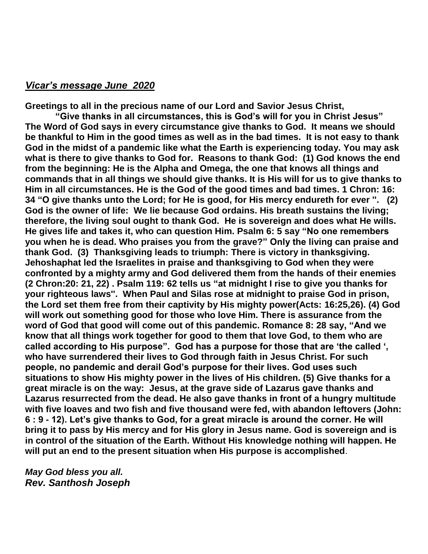#### *Vicar's message June 2020*

**Greetings to all in the precious name of our Lord and Savior Jesus Christ,** 

**"Give thanks in all circumstances, this is God's will for you in Christ Jesus" The Word of God says in every circumstance give thanks to God. It means we should be thankful to Him in the good times as well as in the bad times. It is not easy to thank God in the midst of a pandemic like what the Earth is experiencing today. You may ask what is there to give thanks to God for. Reasons to thank God: (1) God knows the end from the beginning: He is the Alpha and Omega, the one that knows all things and commands that in all things we should give thanks. It is His will for us to give thanks to Him in all circumstances. He is the God of the good times and bad times. 1 Chron: 16: 34 "O give thanks unto the Lord; for He is good, for His mercy endureth for ever ''. (2) God is the owner of life: We lie because God ordains. His breath sustains the living; therefore, the living soul ought to thank God. He is sovereign and does what He wills. He gives life and takes it, who can question Him. Psalm 6: 5 say "No one remembers you when he is dead. Who praises you from the grave?" Only the living can praise and thank God. (3) Thanksgiving leads to triumph: There is victory in thanksgiving. Jehoshaphat led the Israelites in praise and thanksgiving to God when they were confronted by a mighty army and God delivered them from the hands of their enemies (2 Chron:20: 21, 22) . Psalm 119: 62 tells us "at midnight I rise to give you thanks for your righteous laws''. When Paul and Silas rose at midnight to praise God in prison, the Lord set them free from their captivity by His mighty power(Acts: 16:25,26). (4) God will work out something good for those who love Him. There is assurance from the word of God that good will come out of this pandemic. Romance 8: 28 say, "And we know that all things work together for good to them that love God, to them who are called according to His purpose". God has a purpose for those that are 'the called ', who have surrendered their lives to God through faith in Jesus Christ. For such people, no pandemic and derail God's purpose for their lives. God uses such situations to show His mighty power in the lives of His children. (5) Give thanks for a great miracle is on the way: Jesus, at the grave side of Lazarus gave thanks and Lazarus resurrected from the dead. He also gave thanks in front of a hungry multitude with five loaves and two fish and five thousand were fed, with abandon leftovers (John: 6 : 9 - 12). Let's give thanks to God, for a great miracle is around the corner. He will bring it to pass by His mercy and for His glory in Jesus name. God is sovereign and is in control of the situation of the Earth. Without His knowledge nothing will happen. He will put an end to the present situation when His purpose is accomplished**.

*May God bless you all. Rev. Santhosh Joseph*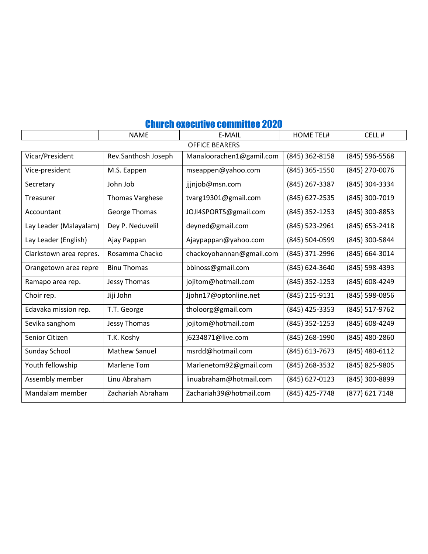|                         | <b>NAME</b>            | E-MAIL                   | <b>HOME TEL#</b> | CELL#            |
|-------------------------|------------------------|--------------------------|------------------|------------------|
| <b>OFFICE BEARERS</b>   |                        |                          |                  |                  |
| Vicar/President         | Rev.Santhosh Joseph    | Manaloorachen1@gamil.com | (845) 362-8158   | (845) 596-5568   |
| Vice-president          | M.S. Eappen            | mseappen@yahoo.com       | (845) 365-1550   | (845) 270-0076   |
| Secretary               | John Job               | jjjnjob@msn.com          | (845) 267-3387   | (845) 304-3334   |
| Treasurer               | <b>Thomas Varghese</b> | tvarg19301@gmail.com     | (845) 627-2535   | (845) 300-7019   |
| Accountant              | <b>George Thomas</b>   | JOJI4SPORTS@gmail.com    | (845) 352-1253   | (845) 300-8853   |
| Lay Leader (Malayalam)  | Dey P. Neduvelil       | deyned@gmail.com         | (845) 523-2961   | $(845)$ 653-2418 |
| Lay Leader (English)    | Ajay Pappan            | Ajaypappan@yahoo.com     | (845) 504-0599   | (845) 300-5844   |
| Clarkstown area repres. | Rosamma Chacko         | chackoyohannan@gmail.com | (845) 371-2996   | (845) 664-3014   |
| Orangetown area repre   | <b>Binu Thomas</b>     | bbinoss@gmail.com        | (845) 624-3640   | (845) 598-4393   |
| Ramapo area rep.        | Jessy Thomas           | jojitom@hotmail.com      | (845) 352-1253   | (845) 608-4249   |
| Choir rep.              | Jiji John              | Jjohn17@optonline.net    | (845) 215-9131   | (845) 598-0856   |
| Edavaka mission rep.    | T.T. George            | tholoorg@gmail.com       | (845) 425-3353   | (845) 517-9762   |
| Sevika sanghom          | Jessy Thomas           | jojitom@hotmail.com      | (845) 352-1253   | (845) 608-4249   |
| Senior Citizen          | T.K. Koshy             | j6234871@live.com        | (845) 268-1990   | (845) 480-2860   |
| <b>Sunday School</b>    | <b>Mathew Sanuel</b>   | msrdd@hotmail.com        | (845) 613-7673   | (845) 480-6112   |
| Youth fellowship        | <b>Marlene Tom</b>     | Marlenetom92@gmail.com   | (845) 268-3532   | (845) 825-9805   |
| Assembly member         | Linu Abraham           | linuabraham@hotmail.com  | (845) 627-0123   | (845) 300-8899   |
| Mandalam member         | Zachariah Abraham      | Zachariah39@hotmail.com  | (845) 425-7748   | (877) 621 7148   |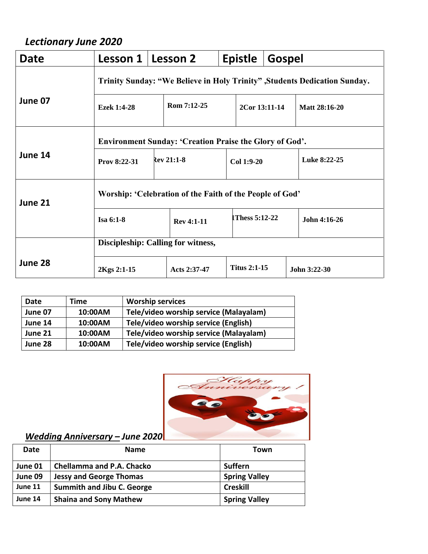# *Lectionary June 2020*

| Date    | Lesson 1                                                                  |  | Lesson 2          |            | <b>Epistle</b>      | Gospel       |                      |
|---------|---------------------------------------------------------------------------|--|-------------------|------------|---------------------|--------------|----------------------|
|         | Trinity Sunday: "We Believe in Holy Trinity", Students Dedication Sunday. |  |                   |            |                     |              |                      |
| June 07 | <b>Ezek 1:4-28</b>                                                        |  | Rom 7:12-25       |            | 2Cor 13:11-14       |              | <b>Matt 28:16-20</b> |
|         | <b>Environment Sunday: 'Creation Praise the Glory of God'.</b>            |  |                   |            |                     |              |                      |
| June 14 | Prov 8:22-31                                                              |  | <b>Rev 21:1-8</b> | Col 1:9-20 |                     | Luke 8:22-25 |                      |
| June 21 | Worship: 'Celebration of the Faith of the People of God'                  |  |                   |            |                     |              |                      |
|         | Isa 6:1-8                                                                 |  | <b>Rev 4:1-11</b> |            | Thess 5:12-22       |              | John 4:16-26         |
|         | Discipleship: Calling for witness,                                        |  |                   |            |                     |              |                      |
| June 28 | 2Kgs 2:1-15                                                               |  | Acts 2:37-47      |            | <b>Titus 2:1-15</b> |              | John 3:22-30         |

| Date    | Time    | <b>Worship services</b>                |
|---------|---------|----------------------------------------|
| June 07 | 10:00AM | Tele/video worship service (Malayalam) |
| June 14 | 10:00AM | Tele/video worship service (English)   |
| June 21 | 10:00AM | Tele/video worship service (Malayalam) |
| June 28 | 10:00AM | Tele/video worship service (English)   |



## *Wedding Anniversary – June 2020*

| Date    | <b>Name</b>                       | Town                 |
|---------|-----------------------------------|----------------------|
| June 01 | <b>Chellamma and P.A. Chacko</b>  | <b>Suffern</b>       |
| June 09 | <b>Jessy and George Thomas</b>    | <b>Spring Valley</b> |
| June 11 | <b>Summith and Jibu C. George</b> | <b>Creskill</b>      |
| June 14 | <b>Shaina and Sony Mathew</b>     | <b>Spring Valley</b> |